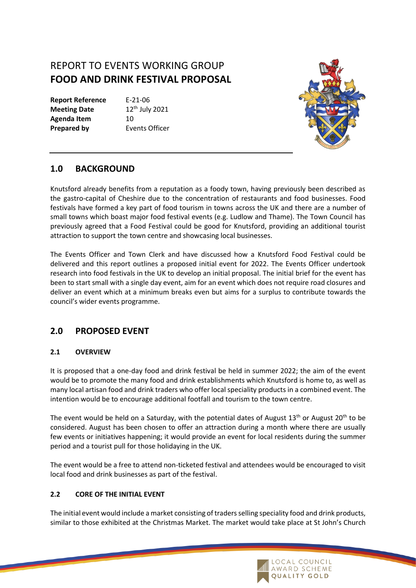# REPORT TO EVENTS WORKING GROUP **FOOD AND DRINK FESTIVAL PROPOSAL**

**Report Reference** E-21-06 **Meeting Date** 12<sup>th</sup> July 2021 Agenda Item 10 **Prepared by Events Officer** 



## **1.0 BACKGROUND**

Knutsford already benefits from a reputation as a foody town, having previously been described as the gastro-capital of Cheshire due to the concentration of restaurants and food businesses. Food festivals have formed a key part of food tourism in towns across the UK and there are a number of small towns which boast major food festival events (e.g. Ludlow and Thame). The Town Council has previously agreed that a Food Festival could be good for Knutsford, providing an additional tourist attraction to support the town centre and showcasing local businesses.

The Events Officer and Town Clerk and have discussed how a Knutsford Food Festival could be delivered and this report outlines a proposed initial event for 2022. The Events Officer undertook research into food festivals in the UK to develop an initial proposal. The initial brief for the event has been to start small with a single day event, aim for an event which does not require road closures and deliver an event which at a minimum breaks even but aims for a surplus to contribute towards the council's wider events programme.

## **2.0 PROPOSED EVENT**

#### **2.1 OVERVIEW**

It is proposed that a one-day food and drink festival be held in summer 2022; the aim of the event would be to promote the many food and drink establishments which Knutsford is home to, as well as many local artisan food and drink traders who offer local speciality products in a combined event. The intention would be to encourage additional footfall and tourism to the town centre.

The event would be held on a Saturday, with the potential dates of August  $13<sup>th</sup>$  or August  $20<sup>th</sup>$  to be considered. August has been chosen to offer an attraction during a month where there are usually few events or initiatives happening; it would provide an event for local residents during the summer period and a tourist pull for those holidaying in the UK.

The event would be a free to attend non-ticketed festival and attendees would be encouraged to visit local food and drink businesses as part of the festival.

#### **2.2 CORE OF THE INITIAL EVENT**

The initial event would include a market consisting of traders selling speciality food and drink products, similar to those exhibited at the Christmas Market. The market would take place at St John's Church

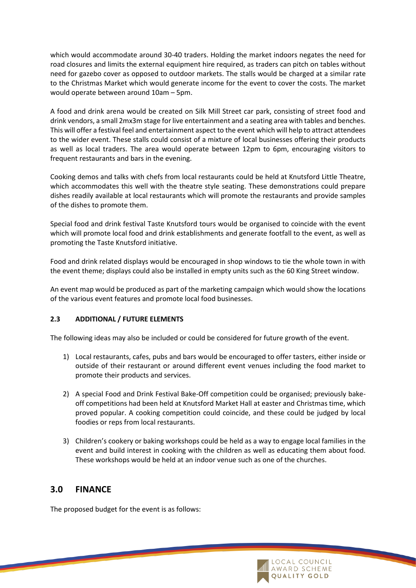which would accommodate around 30-40 traders. Holding the market indoors negates the need for road closures and limits the external equipment hire required, as traders can pitch on tables without need for gazebo cover as opposed to outdoor markets. The stalls would be charged at a similar rate to the Christmas Market which would generate income for the event to cover the costs. The market would operate between around 10am – 5pm.

A food and drink arena would be created on Silk Mill Street car park, consisting of street food and drink vendors, a small 2mx3m stage forlive entertainment and a seating area with tables and benches. This will offer a festival feel and entertainment aspect to the event which will help to attract attendees to the wider event. These stalls could consist of a mixture of local businesses offering their products as well as local traders. The area would operate between 12pm to 6pm, encouraging visitors to frequent restaurants and bars in the evening.

Cooking demos and talks with chefs from local restaurants could be held at Knutsford Little Theatre, which accommodates this well with the theatre style seating. These demonstrations could prepare dishes readily available at local restaurants which will promote the restaurants and provide samples of the dishes to promote them.

Special food and drink festival Taste Knutsford tours would be organised to coincide with the event which will promote local food and drink establishments and generate footfall to the event, as well as promoting the Taste Knutsford initiative.

Food and drink related displays would be encouraged in shop windows to tie the whole town in with the event theme; displays could also be installed in empty units such as the 60 King Street window.

An event map would be produced as part of the marketing campaign which would show the locations of the various event features and promote local food businesses.

#### **2.3 ADDITIONAL / FUTURE ELEMENTS**

The following ideas may also be included or could be considered for future growth of the event.

- 1) Local restaurants, cafes, pubs and bars would be encouraged to offer tasters, either inside or outside of their restaurant or around different event venues including the food market to promote their products and services.
- 2) A special Food and Drink Festival Bake-Off competition could be organised; previously bakeoff competitions had been held at Knutsford Market Hall at easter and Christmas time, which proved popular. A cooking competition could coincide, and these could be judged by local foodies or reps from local restaurants.
- 3) Children's cookery or baking workshops could be held as a way to engage local families in the event and build interest in cooking with the children as well as educating them about food. These workshops would be held at an indoor venue such as one of the churches.

## **3.0 FINANCE**

The proposed budget for the event is as follows:

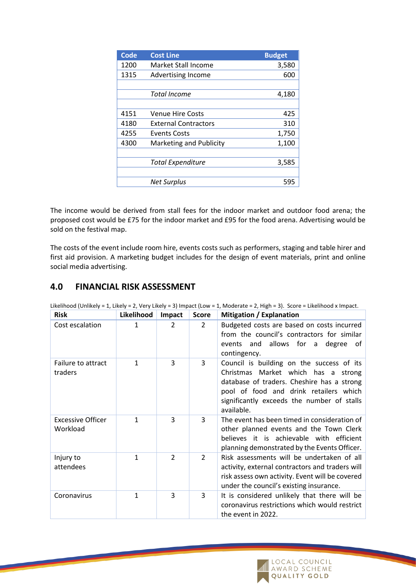| Code | <b>Cost Line</b>            | <b>Budget</b> |
|------|-----------------------------|---------------|
| 1200 | Market Stall Income         | 3,580         |
| 1315 | <b>Advertising Income</b>   | 600           |
|      |                             |               |
|      | <b>Total Income</b>         | 4,180         |
|      |                             |               |
| 4151 | <b>Venue Hire Costs</b>     | 425           |
| 4180 | <b>External Contractors</b> | 310           |
| 4255 | Events Costs                | 1,750         |
| 4300 | Marketing and Publicity     | 1,100         |
|      |                             |               |
|      | <b>Total Expenditure</b>    | 3,585         |
|      |                             |               |
|      | Net Surplus                 | 595           |

The income would be derived from stall fees for the indoor market and outdoor food arena; the proposed cost would be £75 for the indoor market and £95 for the food arena. Advertising would be sold on the festival map.

The costs of the event include room hire, events costs such as performers, staging and table hirer and first aid provision. A marketing budget includes for the design of event materials, print and online social media advertising.

## **4.0 FINANCIAL RISK ASSESSMENT**

| <b>Risk</b>                          | Likelihood   | Impact         | <b>Score</b>   | <b>Mitigation / Explanation</b>                                                                                                                                                                                                         |
|--------------------------------------|--------------|----------------|----------------|-----------------------------------------------------------------------------------------------------------------------------------------------------------------------------------------------------------------------------------------|
| Cost escalation                      | $\mathbf{1}$ | $\overline{2}$ | $\overline{2}$ | Budgeted costs are based on costs incurred<br>from the council's contractors for similar<br>events and allows for a<br>degree<br>of<br>contingency.                                                                                     |
| Failure to attract<br>traders        | $\mathbf{1}$ | 3              | 3              | Council is building on the success of its<br>Christmas Market which has a<br>strong<br>database of traders. Cheshire has a strong<br>pool of food and drink retailers which<br>significantly exceeds the number of stalls<br>available. |
| <b>Excessive Officer</b><br>Workload | 1            | 3              | 3              | The event has been timed in consideration of<br>other planned events and the Town Clerk<br>believes it is achievable with efficient<br>planning demonstrated by the Events Officer.                                                     |
| Injury to<br>attendees               | 1            | $\mathcal{L}$  | $\overline{2}$ | Risk assessments will be undertaken of all<br>activity, external contractors and traders will<br>risk assess own activity. Event will be covered<br>under the council's existing insurance.                                             |
| Coronavirus                          | $\mathbf{1}$ | 3              | 3              | It is considered unlikely that there will be<br>coronavirus restrictions which would restrict<br>the event in 2022.                                                                                                                     |

Likelihood (Unlikely = 1, Likely = 2, Very Likely = 3) Impact (Low = 1, Moderate = 2, High = 3). Score = Likelihood x Impact.